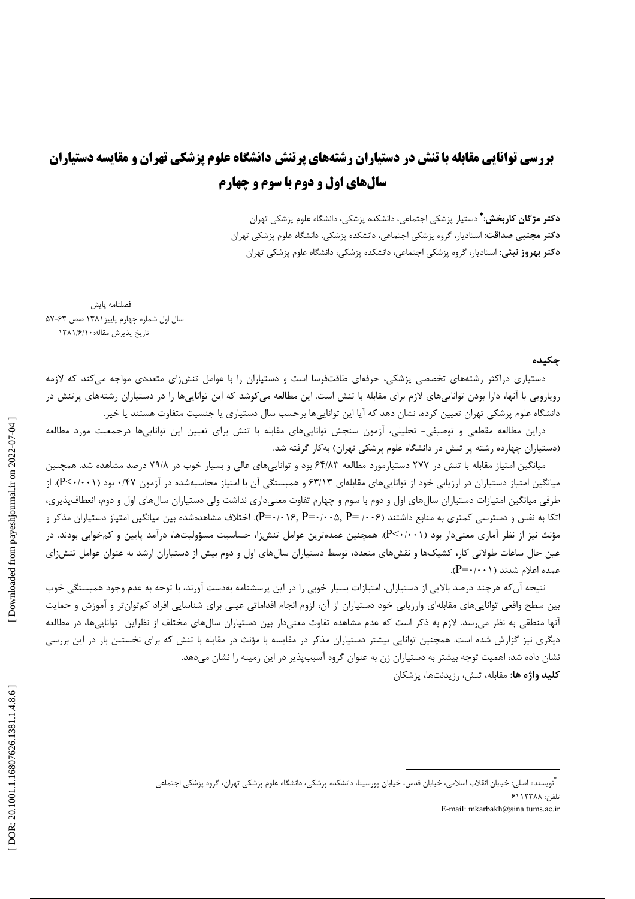# **بررسی توانایی مقابله با تنش در دستیاران رشتههای پرتنش دانشگاه علوم پزشکی تهران و مقایسه دستیاران** سالهای اول و دوم با سوم و چهارم

**دکتر مژگان کاریخش: \*** دستیار بزشکی احتما*عی*، دانشکده بزشکی، دانشگاه علوم بزشکی تهران **دکتر مجتبی صداقت:** استادیار، گروه پزشکی اجتماعی، دانشکده پزشکی، دانشگاه علوم پزشکی تهران **دکتر بهروز نبئی:** استادیار، گروه پزشکی اجتماعی، دانشکده پزشکی، دانشگاه علوم پزشکی تهران

فصلنامه پايش سال اول شماره چهارم پاییز ۱۳۸۱ صص ۶۳-۵۷ تاريخ پذيرش مقاله: ١٣٨١/٤/١

### حكىدە

دستیاری دراکثر رشتههای تخصصی پزشکی، حرفهای طاقتفرسا است و دستیاران را با عوامل تنش زای متعددی مواجه میکند که لازمه روپارویی با آنها، دارا بودن تواناییهای لازم برای مقابله با تنش است. این مطالعه میکوشد که این تواناییها را در دستیاران رشتههای پرتنش در دانشگاه علوم پزشکی تهران تعیین کرده، نشان دهد که آیا این تواناییها برحسب سال دستیاری یا جنسیت متفاوت هستند یا خیر.

دراین مطالعه مقطعی و توصیفی- تحلیلی، آزمون سنجش تواناییهای مقابله با تنش برای تعیین این تواناییها درجمعیت مورد مطالعه (دستیاران چهارده رشته پر تنش در دانشگاه علوم پزشکی تهران) بهکار گرفته شد.

میانگین امتیاز مقابله با تنش در ۲۷۷ دستیارمورد مطالعه ۶۴/۸۳ بود و تواناییهای عالی و بسیار خوب در ۷۹/۸ درصد مشاهده شد. همچنین میانگین امتیاز دستیاران در ارزیابی خود از تواناییهای مقابلهای ۶۳/۱۳ و همبستگی آن با امتیاز محاسبهشده در آزمون ۰/۴۷ بود (P<۰/۰۰۱). از طرفی میانگین امتیازات دستیاران سال۱های اول و دوم با سوم و چهارم تفاوت معنیداری نداشت ولی دستیاران سال۱های اول و دوم، انعطافپذیری، اتکا به نفس و دسترسی کمتری به منابع داشتند (۶-۰۰+ P=۰/۰۰۶, P=۰/۰۰۶, P=۰/۰۰۵, اختلاف مشاهدهشده بین میانگین امتیاز دستیاران مذکر و مؤنث نیز از نظر آماری معنیدار بود (P<۰/۰۰۱). همچنین عمدهترین عوامل تنش;ا، حساسیت مسؤولیتها، درآمد پایین و کمخوابی بودند. در عین حال ساعات طولانی کار، کشیکها و نقشهای متعدد، توسط دستیاران سالهای اول و دوم بیش از دستیاران ارشد به عنوان عوامل تنشiای عمده اعلام شدند (۱۰۰۱--P).

نتیجه آن که هرچند درصد بالایی از دستیاران، امتیازات بسیار خوبی را در این پرسشنامه بهدست آورند، با توجه به عدم وجود همبستگی خوب بین سطح واقعی تواناییهای مقابلهای وارزیابی خود دستیاران از آن، لزوم انجام اقداماتی عینی برای شناسایی افراد کمتوانتر و آموزش و حمایت آنها منطقی به نظر میرسد. لازم به ذکر است که عدم مشاهده تفاوت معنیدار بین دستیاران سالهای مختلف از نظراین تواناییها، در مطالعه دیگری نیز گزارش شده است. همچنین توانایی بیشتر دستیاران مذکر در مقایسه با مؤنث در مقابله با تنش که برای نخستین بار در این بررسی نشان داده شد، اهمیت توجه بیشتر به دستیاران زن به عنوان گروه آسیبپذیر در این زمینه را نشان میدهد. **كليد واژه ها:** مقابله، تنش، رزيدنتها، يزشكان

تلفن: ۶۱۱۲۳۸۸

E-mail: mkarbakh@sina.tums.ac.ir

<sup>۔&</sup>lt;br>"ويسنده اصلي: خيابان انقلاب اسلامي، خيابان قدس، خيابان يورسينا، دانشكده يزشكي، دانشگاه علوم يزشكي تهران، گروه يزشكي اجتماعي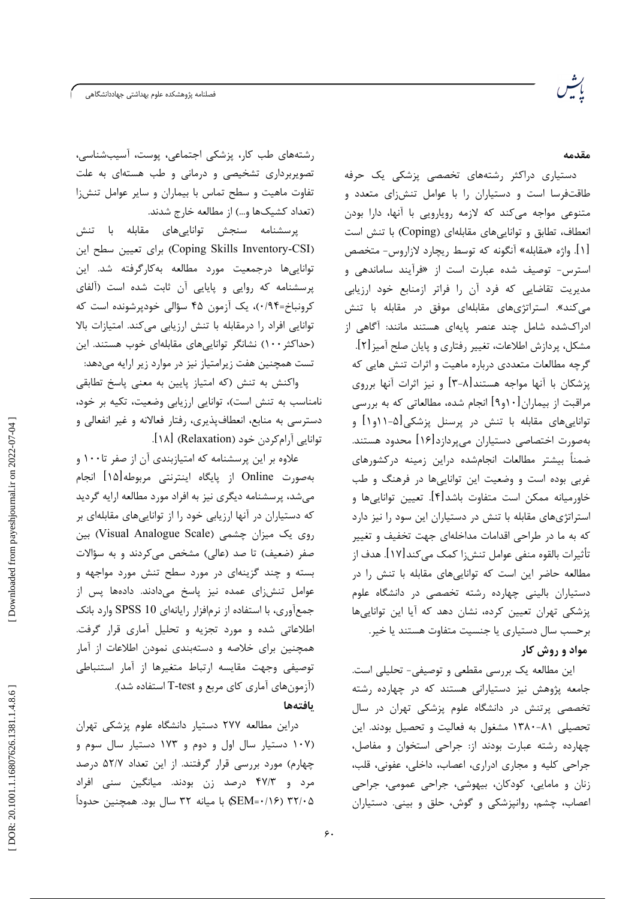مقدمه

دستیاری دراکثر رشتههای تخصصی پزشکی یک حرفه طاقتفرسا است و دستیاران را با عوامل تنشiای متعدد و متنوعی مواجه میکند که لازمه رویارویی با آنها، دارا بودن انعطاف، تطابق و توانایی های مقابلهای (Coping) با تنش است [۱]. واژه «مقابله» آنگونه که توسط ریچارد لازاروس- متخصص استرس- توصیف شده عبارت است از «فرآیند ساماندهی و مدیریت تقاضایی که فرد آن را فراتر ازمنابع خود ارزیابی می کند». استراتژیهای مقابلهای موفق در مقابله با تنش ادراکشده شامل چند عنصر پایهای هستند مانند: آگاهی از مشکل، پردازش اطلاعات، تغییر رفتاری و پایان صلح آمیز [۲]. گرچه مطالعات متعددی درباره ماهیت و اثرات تنش هایی که یزشکان با آنها مواجه هستند[۸-۳] و نیز اثرات آنها برروی مراقبت از بیماران [۱۰و۹] انجام شده، مطالعاتی که به بررسی تواناییهای مقابله با تنش در پرسنل پزشکی[۵-۱۱و۱] و بهصورت اختصاصی دستیاران می پردازد[۱۶] محدود هستند. ضمناً بیشتر مطالعات انجامشده دراین زمینه درکشورهای غربی بوده است و وضعیت این تواناییها در فرهنگ و طب خاورمیانه ممکن است متفاوت باشد[۴]. تعیین تواناییها و استراتژیهای مقابله با تنش در دستیاران این سود را نیز دارد که به ما در طراحی اقدامات مداخلهای جهت تخفیف و تغییر تأثيرات بالقوه منفي عوامل تنش;ا كمك مي كند[١٧]. هدف از مطالعه حاضر این است که تواناییهای مقابله با تنش را در دستیاران بالینی چهارده رشته تخصصی در دانشگاه علوم پزشکی تهران تعیین کرده، نشان دهد که آیا این تواناییها برحسب سال دستیاری یا جنسیت متفاوت هستند یا خیر. مواد و روش کار

این مطالعه یک بررسی مقطعی و توصیفی- تحلیلی است. جامعه پژوهش نیز دستیارانی هستند که در چهارده رشته تخصصی پرتنش در دانشگاه علوم پزشکی تهران در سال تحصیلی ۸۱-۱۳۸۰ مشغول به فعالیت و تحصیل بودند. این چهارده رشته عبارت بودند از: جراحی استخوان و مفاصل، جراحی کلیه و مجاری ادراری، اعصاب، داخلی، عفونی، قلب، زنان و مامایی، کودکان، بیهوشی، جراحی عمومی، جراحی اعصاب، چشم، روانپزشکی و گوش، حلق و بینی. دستیاران

رشتههای طب کار، پزشکی اجتماعی، پوست، آسیبشناسی، تصویربرداری تشخیصی و درمانی و طب هستهای به علت تفاوت ماهیت و سطح تماس با بیماران و سایر عوامل تنشiا (تعداد کشیکها و…) از مطالعه خارج شدند.

پرسشنامه سنجش تواناییهای مقابله با تنش (Coping Skills Inventory-CSI) برای تعیین سطح این تواناییها درجمعیت مورد مطالعه بهکارگرفته شد. این پرسشنامه که روایی و پایایی آن ثابت شده است (آلفای کرونباخ=۰/۹۴)، یک آزمون ۴۵ سؤالی خودپرشونده است که توانایی افراد را درمقابله با تنش ارزیابی می کند. امتیازات بالا (حداکثر ١٠٠) نشانگر تواناییهای مقابلهای خوب هستند. این تست همچنین هفت زیرامتیاز نیز در موارد زیر ارایه میدهد:

واكنش به تنش (كه امتياز پايين به معنى پاسخ تطابقى نامناسب به تنش است)، توانایی ارزیابی وضعیت، تکیه بر خود، دسترسی به منابع، انعطافپذیری، رفتار فعالانه و غیر انفعالی و توانایی آرام کردن خود (Relaxation) [۱۸].

علاوه بر این پرسشنامه که امتیازبندی آن از صفر تا۱۰۰ و بهصورت Online از پایگاه اینترنتی مربوطه[۱۵] انجام میشد، پرسشنامه دیگری نیز به افراد مورد مطالعه ارایه گردید که دستیاران در آنها ارزیابی خود را از تواناییهای مقابلهای بر روی یک میزان چشمی (Visual Analogue Scale) بین صفر (ضعیف) تا صد (عالی) مشخص میکردند و به سؤالات بسته و چند گزینهای در مورد سطح تنش مورد مواجهه و عوامل تنش زای عمده نیز پاسخ میدادند. دادهها پس از جمعآوری، با استفاده از نرمافزار رایانهای SPSS 10 وارد بانک اطلاعاتی شده و مورد تجزیه و تحلیل آماری قرار گرفت. همچنین برای خلاصه و دستهبندی نمودن اطلاعات از آمار توصيفي وجهت مقايسه ارتباط متغيرها از آمار استنباطي (آزمون های آماری کای مربع و T-test استفاده شد).

## بافتهها

 $\zeta$ .

دراین مطالعه ۲۷۷ دستیار دانشگاه علوم پزشکی تهران (۱۰۷ دستیار سال اول و دوم و ۱۷۳ دستیار سال سوم و چهارم) مورد بررسی قرار گرفتند. از این تعداد ۵۲/۷ درصد مرد و ۴۷/۳ درصد زن بودند. میانگین سنی افراد & 6'SEM) با ميانه ٣٢ سال بود. همچنين حدوداً

DOR: 20.1001.1.16807626.1381.1.4.8.6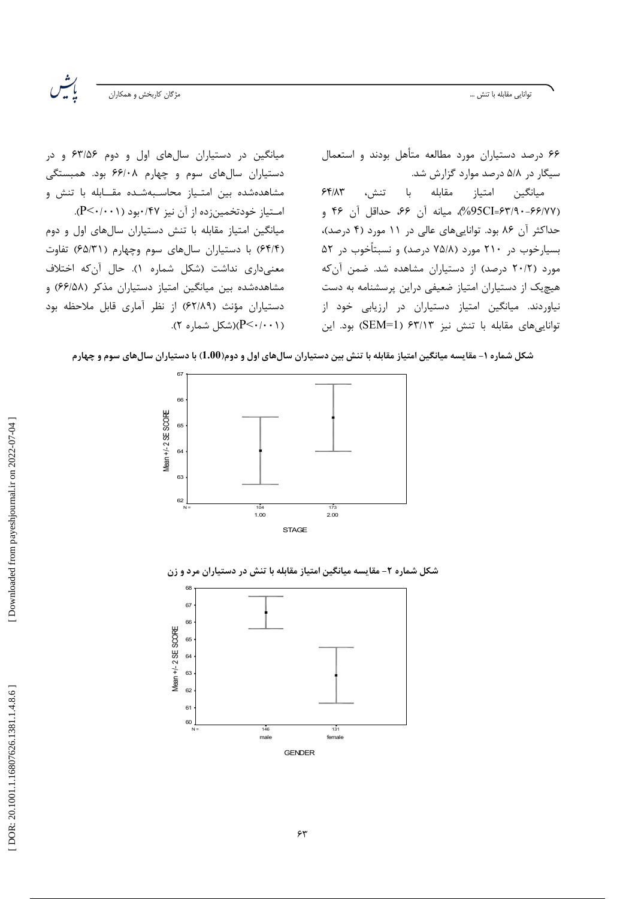توانايى مقابله با تنش ...

مژگان كاربخش و همكاران

رينه<br>بې

۶۶ درصد دستیاران مورد مطالعه متأهل بودند و استعمال سیگار در ۵/۸ درصد موارد گزارش شد.

 $55/17$ مقابله با تنش، ميانگين امتياز (95CI=۶۳/۹۰-۶۶/۷۷)، میانه آن ۶۶، حداقل آن ۴۶ و حداکثر آن ۸۶ بود. تواناییهای عالی در ۱۱ مورد (۴ درصد)، بسیارخوب در ۲۱۰ مورد (۷۵/۸ درصد) و نسبتأخوب در ۵۲ مورد (٢٠/٢ درصد) از دستياران مشاهده شد. ضمن آن كه هیچیک از دستیاران امتیاز ضعیفی دراین پرسشنامه به دست نیاوردند. میانگین امتیاز دستیاران در ارزیابی خود از توانایی های مقابله با تنش نیز ۶۳/۱۳ (SEM=1) بود. این

میانگین در دستیاران سالهای اول و دوم ۶۳/۵۶ و در دستیاران سالهای سوم و چهارم ۶۶/۰۸ بود. همبستگی مشاهدهشده بین امتـیاز محاسـبهشـده مقــابله با تنش و امـتياز خودتخمينزده از آن نيز ۰/۴۷بود (P<۰/۰۰۱). میانگین امتیاز مقابله با تنش دستیاران سالهای اول و دوم (۶۴/۴) با دستیاران سالهای سوم وچهارم (۶۵/۳۱) تفاوت معنى دارى نداشت (شكل شماره ١). حال آن كه اختلاف مشاهدهشده بين ميانكين امتياز دستياران مذكر (۶۶/۵۸) و دستیاران مؤنث (۶۲/۸۹) از نظر آماری قابل ملاحظه بود (۲۰۰۱–)(شکل شماره ۲).

شکل شماره ۱– مقایسه میانگین امتیاز مقابله با تنش بین دستیاران سالهای اول و دوم(1.00) با دستیاران سالهای سوم و چهارم



شکل شماره ۲- مقایسه میانگین امتیاز مقابله با تنش در دستیاران مرد و زن

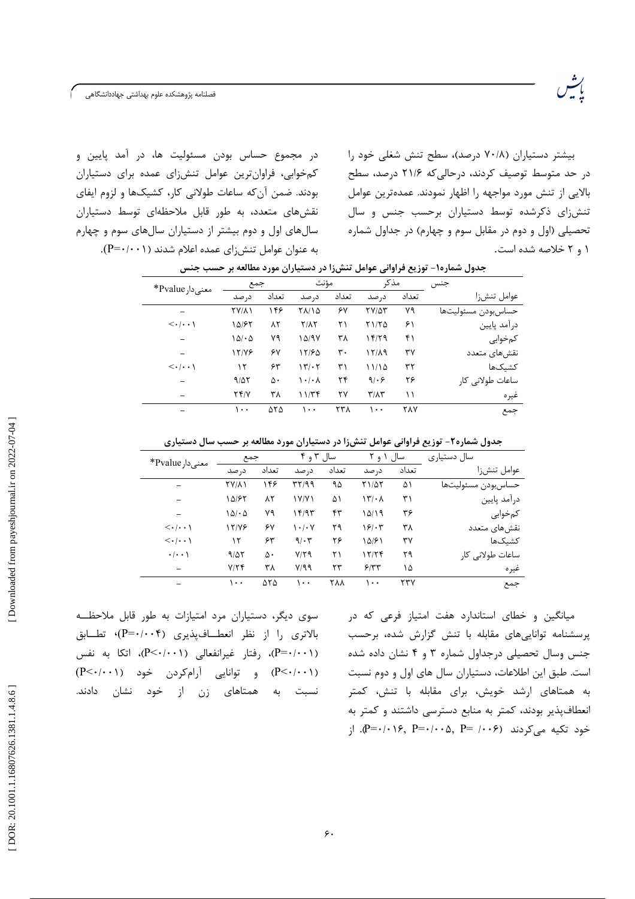رشر<br>پېښه

در مجموع حساس بودن مسئولیت ها، در آمد پایین و کمخوابی، فراوان ترین عوامل تنش زای عمده برای دستیاران بودند. ضمن آن که ساعات طولانی کار، کشیکها و لزوم ایفای نقشهای متعدد، به طور قابل ملاحظهای توسط دستیاران سالهای اول و دوم بیشتر از دستیاران سالهای سوم و چهارم به عنوان عوامل تنشiای عمده اعلام شدند (P=۰/۰۰۱). بیشتر دستیاران (۷۰/۸ درصد)، سطح تنش شغلی خود را در حد متوسط توصیف کردند، درحالی که ۲۱/۶ درصد، سطح بالایی از تنش مورد مواجهه را اظهار نمودند. عمدهترین عوامل تنش زای ذکرشده توسط دستیاران برحسب جنس و سال تحصیلی (اول و دوم در مقابل سوم و چهارم) در جداول شماره ۱ و ۲ خلاصه شده است.

|                     |            |               |       |                                 |                   | . .                   |                                       |  |
|---------------------|------------|---------------|-------|---------------------------------|-------------------|-----------------------|---------------------------------------|--|
| جنس                 | مذكر       |               | مؤنث  |                                 | جمع               |                       |                                       |  |
| عوامل تنشرزا        | تعداد      | د, صد         | تعداد | د, صد                           | تعداد             | د, صد                 | معنىدار Pvalue*                       |  |
| حساس بودن مسئوليتها | ٧٩         | <b>TV/97</b>  | ۶۷    | ۲۸/۱۵                           | ۱۴۶               | <b>TY/11</b>          |                                       |  |
| درآمد پايين         | ۶۱         | ۲۱/۲۵         | ۲۱    | $Y/\lambda Y$                   | ۸۲                | ۱۵/۶۲                 | $\langle \cdot   \cdot \cdot \rangle$ |  |
| كمخوابي             | ۴۱         | 14/79         | ۳۸    | 10/9V                           | ٧٩                | $\Delta/\cdot \Delta$ | $\overline{\phantom{0}}$              |  |
| نقش های متعدد       | ٣٧         | 12/19         | ٣٠    | 15/60                           | ۶۷                | 17/78                 |                                       |  |
| كشىكھا              | ٣٢         | ۱۱/۱۵         | ۳۱    | 17.7                            | ۶۳                | ۱۲                    | $\langle \cdot   \cdot \cdot \rangle$ |  |
| ساعات طولانی کار    | ۲۶         | 9.5           | ۲۴    | $\lambda \cdot / \cdot \Lambda$ | ۵۰                | 9/27                  |                                       |  |
| غيره                | ۱۱         | $T/\Lambda T$ | ۲۷    | 11/Tf                           | ۳۸                | Yf/Y                  |                                       |  |
| جمع                 | <b>TAY</b> | ۱۰۰           | ۲۳۸   | $\cdots$                        | $\Delta Y \Delta$ | ۱۰۰                   |                                       |  |

جدول شماره۱- توزیع فراوانی عوامل تنشزا در دستیاران مورد مطالعه بر حسب جنس

| جدول شماره۲- توزیع فراوانی عوامل تنشiا در دستیاران مورد مطالعه بر حسب سال دستیاری |  |  |  |  |  |  |
|-----------------------------------------------------------------------------------|--|--|--|--|--|--|
|-----------------------------------------------------------------------------------|--|--|--|--|--|--|

| سال دستیاری         |       | سال ۱ و ۲                           |       | سال ۳ و ۴   |                   | جمع          | معنىدار Pvalue*                       |
|---------------------|-------|-------------------------------------|-------|-------------|-------------------|--------------|---------------------------------------|
| عوامل تنشرزا        | تعداد | در صد                               | تعداد | د, صد       | تعداد             | د, صد        |                                       |
| حساس بودن مسئوليتها | ۵۱    | <b>71/07</b>                        | ٩۵    | 37/99       | ۱۴۶               | <b>TYIAI</b> |                                       |
| درآمد پايين         | ۳۱    | $\mathcal{N} \setminus \mathcal{N}$ | ۵۱    | ۱۷/۷۱       | ۸۲                | ۱۵/۶۲        |                                       |
| كمخوابي             | ۳۶    | ۱۵/۱۹                               | ۴۳    | ۱۴/۹۳       | ٧٩                | 10/20        |                                       |
| نقشهاى متعدد        | ۳۸    | ۱۶۱۰۳                               | ۲۹    | 1.1.4       | ۶۷                | 17/79        | $\langle \cdot   \cdot \cdot \rangle$ |
| كشىكھا              | ٣٧    | ۱۵۱۶۱                               | ۲۶    | $9/\cdot 7$ | ۶۳                | ۱۲           | $\langle \cdot   \cdot \cdot \rangle$ |
| ساعات طولانی کار    | ۲۹    | ۱۲/۲۴                               | ۲۱    | $Y/Y$ ۹     | ۵۰                | 9/27         | $\cdot/\cdot\cdot$                    |
| غيره                | ۱۵    | 5/77                                | ۲۳    | Y/99        | ۳۸                | Y/Y          |                                       |
| جمع                 | ۲۳۷   | ۱۰۰                                 | ۲۸۸   | ۱۰۰         | $\Delta Y \Delta$ | ۱۰۰          |                                       |

سوی دیگر، دستیاران مرد امتیازات به طور قابل ملاحظـه بالاتری را از نظر انعطـافپذیری (P=۰/۰۰۴)، تطــابق (P=٠/٠٠١)، رفتار غيرانفعالي (P<٠/٠٠١)، اتكا به نفس (P<۰/۰۰۱) و توانایی آرامکردن خود (P<۰/۰۰۱) نسبت به همتاهای زن از خود نشان دادند. میانگین و خطای استاندارد هفت امتیاز فرعی که در پرسشنامه تواناییهای مقابله با تنش گزارش شده، برحسب جنس وسال تحصیلی درجداول شماره ۳ و ۴ نشان داده شده است. طبق این اطلاعات، دستیاران سال های اول و دوم نسبت به همتاهای ارشد خویش، برای مقابله با تنش، کمتر انعطافپذیر بودند، کمتر به منابع دسترسی داشتند و کمتر به ; خود تکیه میکردند (۶۰۰۶ P=۰/۰۰۵, P= ۰/۰۰۶ باز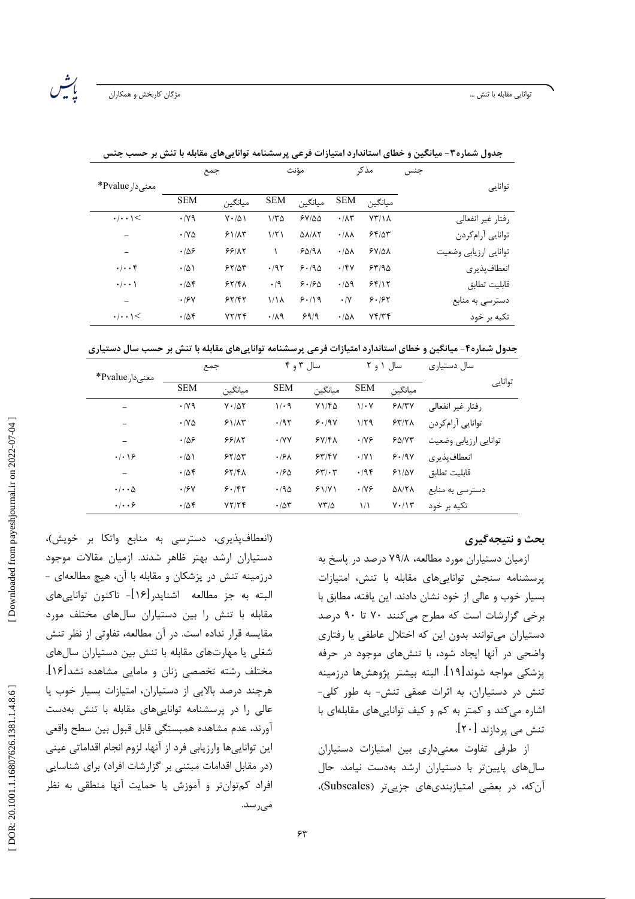|                                  |                              | جمع                |                  | موىت                        |                           | مد ب               | جنس                   |  |
|----------------------------------|------------------------------|--------------------|------------------|-----------------------------|---------------------------|--------------------|-----------------------|--|
| معنىدار Pvalue*                  |                              |                    |                  |                             |                           |                    | توانايى               |  |
|                                  | <b>SEM</b>                   | مىانگىن            | <b>SEM</b>       | مبانگين                     | <b>SEM</b>                | مىانگىن            |                       |  |
| $\cdot$   $\cdot$   $\le$        | $\cdot$ /yq                  | $V \cdot / \Delta$ | $1/\tau \Delta$  | $5Y/\Delta\Delta$           | $\cdot/\lambda\tau$       | $YY/\lambda$       | رفتار غیر انفعالی     |  |
|                                  | $\cdot$ / $\vee$ $\triangle$ | 51/AT              | 1/T1             | $\Delta\lambda/\lambda\tau$ | $\cdot/\lambda\lambda$    | 55/25              | توانايي آرامكردن      |  |
|                                  | .189                         | 55/17              |                  | 50/9                        | $\cdot$ / $\Delta\Lambda$ | $5Y/\Delta\lambda$ | توانايي ارزيابي وضعيت |  |
| $\cdot \mid \cdot \cdot \rangle$ | $\cdot/\Delta$               | 55/25              | .197             | 9.190                       | $\cdot$ /۴۷               | 55/90              | انعطاف يذيري          |  |
| $\cdot$   $\cdot$ \              | .788                         | 55/8A              | $\cdot$ /9       | 9.190                       | .409                      | 55/17              | قابليت تطابق          |  |
| -                                | .19Y                         | 55/85              | 1/1 <sub>A</sub> | 9.19                        | $\cdot/\Upsilon$          | 9.197              | دسترسي به منابع       |  |
| $\cdot$ / $\cdot$ 1 $\le$        | .788                         | YY/Y               | .119             | 99/9                        | $\cdot/\Delta\lambda$     | Yf/Yf              | تکیه بر خود           |  |

جدول شماره۳- میانگین و خطای استاندارد امتیازات فرعی پرسشنامه تواناییهای مقابله با تنش بر ح

جدول شماره۴- میانگین و خطای استاندارد امتیازات فرعی پرسشنامه تواناییهای مقابله با تنش بر حسب سال دستیاری

| توانايى<br><b>SEM</b><br><b>SEM</b><br><b>SEM</b><br>ميانگين<br>ميانگين<br>ميانگين<br>Y1/FQ<br>$\cdot$ /yq<br>51/TV<br>$1/\cdot$ 9<br>$1/\cdot Y$<br>$V \cdot / \Delta Y$<br>رفتار غير انفعالى<br>توانايي آرامكردن<br>57/7 <sub>A</sub><br>1/79<br>.795<br>9.19V<br>$\cdot$ / $\vee$ $\triangle$<br>51/AT<br>.109<br>5Y/K<br>55/17<br>$\cdot$ /YY<br>.199<br>$F\Delta/VT$<br>توانايي ارزيابي وضعيت<br>$\overline{\phantom{0}}$ |                 |                | جمع   | سال ۳ و ۴        |       |             | سال ۱ و ۲ | سال دستیاری  |
|--------------------------------------------------------------------------------------------------------------------------------------------------------------------------------------------------------------------------------------------------------------------------------------------------------------------------------------------------------------------------------------------------------------------------------|-----------------|----------------|-------|------------------|-------|-------------|-----------|--------------|
|                                                                                                                                                                                                                                                                                                                                                                                                                                | معنىدار Pvalue* |                |       |                  |       |             |           |              |
|                                                                                                                                                                                                                                                                                                                                                                                                                                |                 |                |       |                  |       |             |           |              |
|                                                                                                                                                                                                                                                                                                                                                                                                                                |                 |                |       |                  |       |             |           |              |
|                                                                                                                                                                                                                                                                                                                                                                                                                                |                 |                |       |                  |       |             |           |              |
|                                                                                                                                                                                                                                                                                                                                                                                                                                | .4.19           | $\cdot/\Delta$ | 55/25 | .19 <sub>A</sub> | 55/5V | $\cdot$ /Y) | 9.19V     | انعطاف يذيري |
| .788<br>55/8A<br>.795<br>قابليت تطابق<br>$\cdot$ /۶۵<br>55.5<br>51/2V<br>$\qquad \qquad$                                                                                                                                                                                                                                                                                                                                       |                 |                |       |                  |       |             |           |              |
| 9.187<br>.190<br>$\Delta\lambda$ /٢٨<br>$\cdot$ / $\cdot$ $\Delta$<br>.19Y<br>51/Y<br>$\cdot$ /YF<br>دسترسی به منابع                                                                                                                                                                                                                                                                                                           |                 |                |       |                  |       |             |           |              |
| $\cdot$ $\cdot$ $\cdot$ $\cdot$<br>.788<br>YY/YF<br>$YY/\Delta$<br>1/1<br>$Y \cdot / Y$<br>$\cdot$ /55<br>تکیه بر خود                                                                                                                                                                                                                                                                                                          |                 |                |       |                  |       |             |           |              |

## بحث و نتیجهگیری

ازمیان دستیاران مورد مطالعه، ۷۹/۸ درصد در پاسخ به پرسشنامه سنجش تواناییهای مقابله با تنش، امتیازات بسیار خوب و عالی از خود نشان دادند. این یافته، مطابق با برخی گزارشات است که مطرح میکنند ۷۰ تا ۹۰ درصد دستیاران میتوانند بدون این که اختلال عاطفی یا رفتاری واضحی در آنها ایجاد شود، با تنشهای موجود در حرفه يزشكي مواجه شوند[١٩]. البته بيشتر يژوهشها درزمينه تنش در دستیاران، به اثرات عمقی تنش- به طور کلی-اشاره می کند و کمتر به کم و کیف توانایی های مقابلهای با تنش می پردازند [۲۰].

از طرفی تفاوت معنیداری بین امتیازات دستیاران سالهای پایینتر با دستیاران ارشد بهدست نیامد. حال آن که، در بعضی امتیازبندیهای جزیی تر (Subscales)،

(انعطافپذیری، دسترسی به منابع واتکا بر خویش)، دستیاران ارشد بهتر ظاهر شدند. ازمیان مقالات موجود درزمینه تنش در پزشکان و مقابله با آن، هیچ مطالعهای -البته به جز مطالعه اشنايدر[۱۶]- تاكنون توانايىهاى مقابله با تنش را بین دستیاران سالهای مختلف مورد مقایسه قرار نداده است. در آن مطالعه، تفاوتی از نظر تنش شغلی یا مهارتهای مقابله با تنش بین دستیاران سالهای مختلف رشته تخصصی زنان و مامایی مشاهده نشد[۱۶]. هرچند درصد بالایی از دستیاران، امتیازات بسیار خوب یا عالی را در پرسشنامه تواناییهای مقابله با تنش بهدست آورند، عدم مشاهده همبستگي قابل قبول بين سطح واقعي این تواناییها وارزیابی فرد از آنها، لزوم انجام اقداماتی عینی (در مقابل اقدامات مبتنی بر گزارشات افراد) برای شناسایی افراد کمتوانتر و آموزش یا حمایت آنها منطقی به نظر مىرسد.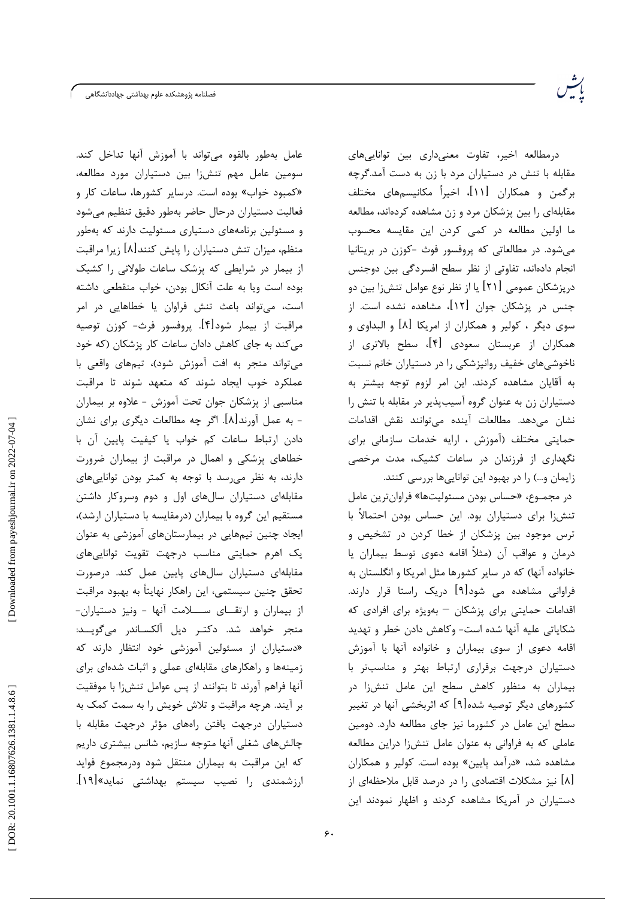.<br>فصلنامه پژوهشکده علوم بهداشتی جهاددانشگاهی

عامل بهطور بالقوه مى تواند با آموزش آنها تداخل كند. سومین عامل مهم تنشiا بین دستیاران مورد مطالعه، «کمبود خواب» بوده است. درسایر کشورها، ساعات کار و فعاليت دستياران درحال حاضر بهطور دقيق تنظيم مىشود و مسئولین برنامههای دستیاری مسئولیت دارند که بهطور منظم، میزان تنش دستیاران را پایش کنند[۸] زیرا مراقبت از بیمار در شرایطی که پزشک ساعات طولانی را کشیک بوده است ويا به علت آنكال بودن، خواب منقطعى داشته است، میتواند باعث تنش فراوان یا خطاهایی در امر مراقبت از بیمار شود[۴]. پروفسور فرث- کوزن توصیه می کند به جای کاهش دادان ساعات کار پزشکان (که خود می تواند منجر به افت آموزش شود)، تیمهای واقعی با عملکرد خوب ایجاد شوند که متعهد شوند تا مراقبت مناسبی از پزشکان جوان تحت آموزش - علاوه بر بیماران - به عمل آورند[۸]. اگر چه مطالعات دیگری برای نشان دادن ارتباط ساعات کم خواب یا کیفیت پایین آن با خطاهای پزشکی و اهمال در مراقبت از بیماران ضرورت دارند، به نظر می رسد با توجه به کمتر بودن توانایی های مقابلهای دستیاران سالهای اول و دوم وسروکار داشتن مستقیم این گروه با بیماران (درمقایسه با دستیاران ارشد)، ایجاد چنین تیمهایی در بیمارستانهای آموزشی به عنوان یک اهرم حمایتی مناسب درجهت تقویت تواناییهای مقابلهای دستیاران سالهای پایین عمل کند. درصورت تحقق چنین سیستمی، این راهکار نهایتاً به بهبود مراقبت از بیماران و ارتقـای ســـلامت آنها - ونیز دستیاران-منجر خواهد شد. دكتـر ديل آلكسـاندر مىگويــد: «دستیاران از مسئولین آموزشی خود انتظار دارند که زمینهها و راهکارهای مقابلهای عملی و اثبات شدهای برای آنها فراهم آورند تا بتوانند از پس عوامل تنشiا با موفقيت بر آیند. هرچه مراقبت و تلاش خویش را به سمت کمک به دستیاران درجهت یافتن راههای مؤثر درجهت مقابله با چالشهای شغلی آنها متوجه سازیم، شانس بیشتری داریم که این مراقبت به بیماران منتقل شود ودرمجموع فواید ارزشمندی را نصیب سیستم بهداشتی نماید»[۱۹].

درمطالعه اخیر، تفاوت معنیداری بین تواناییهای مقابله با تنش در دستیاران مرد با زن به دست آمد.گرچه برگمن و همکاران [۱۱]، اخیراً مکانیسمهای مختلف مقابلهای را بین پزشکان مرد و زن مشاهده کردهاند، مطالعه ما اولین مطالعه در کمی کردن این مقایسه محسوب میشود. در مطالعاتی که پروفسور فوث -کوزن در بریتانیا انجام دادهاند، تفاوتی از نظر سطح افسردگی بین دوجنس درپزشکان عمومی [۲۱] یا از نظر نوع عوامل تنشiا بین دو جنس در پزشکان جوان [۱۲]، مشاهده نشده است. از سوی دیگر ، کولیر و همکاران از امریکا [۸] و البداوی و همکاران از عربستان سعودی [۴]، سطح بالاتری از ناخوشیهای خفیف روانپزشکی را در دستیاران خانم نسبت به آقایان مشاهده کردند. این امر لزوم توجه بیشتر به دستیاران زن به عنوان گروه آسیبپذیر در مقابله با تنش را نشان مى دهد. مطالعات آينده مى توانند نقش اقدامات حمایتی مختلف (آموزش ، ارایه خدمات سازمانی برای نگهداری از فرزندان در ساعات کشیک، مدت مرخصی زایمان و…) را در بهبود این تواناییها بررسی کنند.

در مجمـوع، «حساس بودن مسئوليتها» فراوان ترين عامل تنشiا برای دستیاران بود. این حساس بودن احتمالاً با ترس موجود بین پزشکان از خطا کردن در تشخیص و درمان و عواقب آن (مثلاً اقامه دعوی توسط بیماران یا خانواده آنها) که در سایر کشورها مثل امریکا و انگلستان به فراوانی مشاهده می شود[۹] دریک راستا قرار دارند. اقدامات حمایتی برای پزشکان - بهویژه برای افرادی که شكاياتي عليه آنها شده است- وكاهش دادن خطر و تهديد اقامه دعوی از سوی بیماران و خانواده آنها با آموزش دستیاران درجهت برقراری ارتباط بهتر و مناسبتر با بیماران به منظور کاهش سطح این عامل تنشiا در کشورهای دیگر توصیه شده[۹] که اثربخشی آنها در تغییر سطح این عامل در کشورما نیز جای مطالعه دارد. دومین عاملی که به فراوانی به عنوان عامل تنشiا دراین مطالعه مشاهده شد، «درآمد پایین» بوده است. کولیر و همکاران [۸] نیز مشکلات اقتصادی ,ا در درصد قابل ملاحظهای از دستیاران در آمریکا مشاهده کردند و اظهار نمودند این